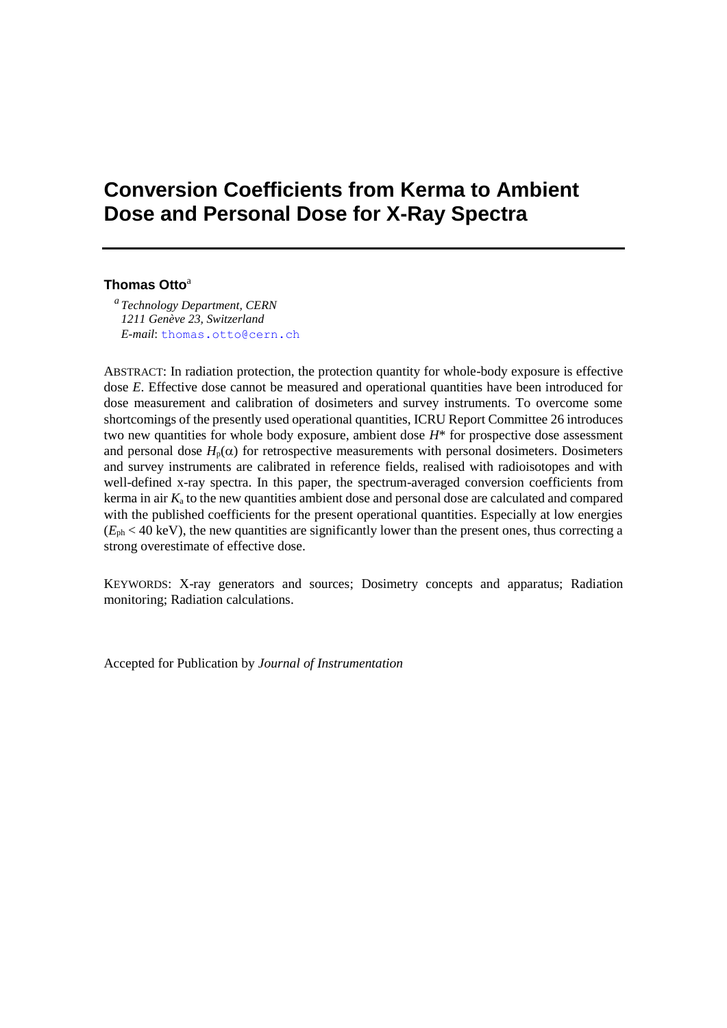# **Conversion Coefficients from Kerma to Ambient Dose and Personal Dose for X-Ray Spectra**

## **Thomas Otto**<sup>a</sup>

*a Technology Department, CERN 1211 Genève 23, Switzerland E-mail*: [thomas.otto@cern.ch](mailto:marek@ipj.gov.pl)

ABSTRACT: In radiation protection, the protection quantity for whole-body exposure is effective dose *E*. Effective dose cannot be measured and operational quantities have been introduced for dose measurement and calibration of dosimeters and survey instruments. To overcome some shortcomings of the presently used operational quantities, ICRU Report Committee 26 introduces two new quantities for whole body exposure, ambient dose *H*\* for prospective dose assessment and personal dose  $H_p(\alpha)$  for retrospective measurements with personal dosimeters. Dosimeters and survey instruments are calibrated in reference fields, realised with radioisotopes and with well-defined x-ray spectra. In this paper, the spectrum-averaged conversion coefficients from kerma in air *K*<sup>a</sup> to the new quantities ambient dose and personal dose are calculated and compared with the published coefficients for the present operational quantities. Especially at low energies  $(E_{\text{ph}} < 40 \text{ keV})$ , the new quantities are significantly lower than the present ones, thus correcting a strong overestimate of effective dose.

KEYWORDS: X-ray generators and sources; Dosimetry concepts and apparatus; Radiation monitoring; Radiation calculations.

Accepted for Publication by *Journal of Instrumentation*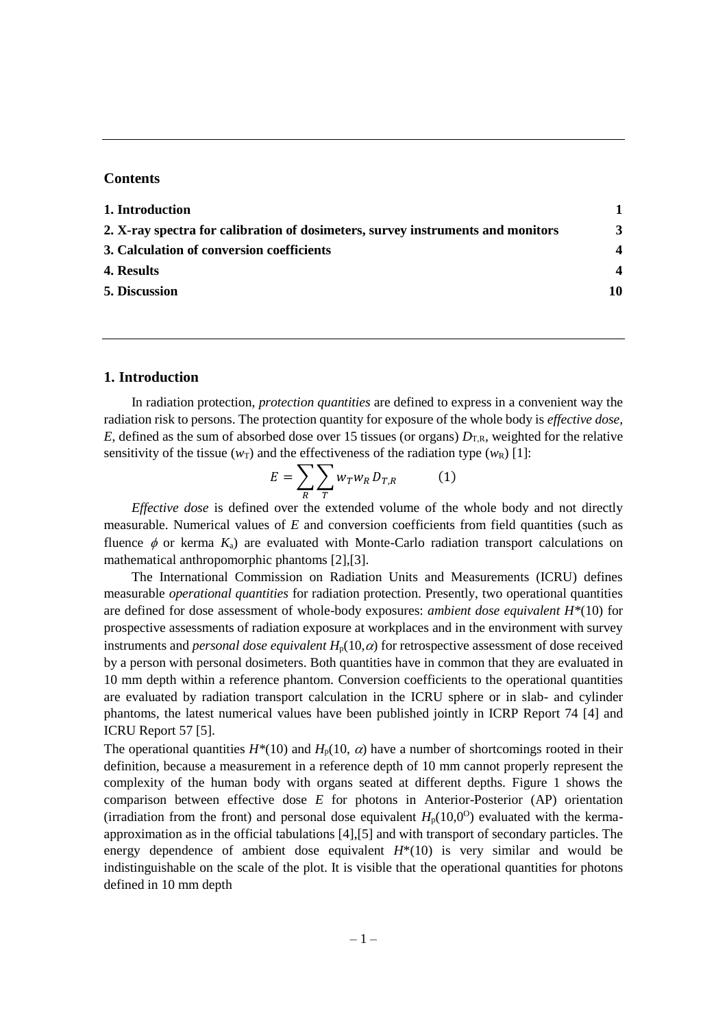#### **Contents**

| 1. Introduction                                                                 |                        |
|---------------------------------------------------------------------------------|------------------------|
| 2. X-ray spectra for calibration of dosimeters, survey instruments and monitors | 3                      |
| 3. Calculation of conversion coefficients                                       | $\boldsymbol{4}$       |
| 4. Results                                                                      | $\boldsymbol{\Lambda}$ |
| 5. Discussion                                                                   | 10                     |

#### **1. Introduction**

In radiation protection, *protection quantities* are defined to express in a convenient way the radiation risk to persons. The protection quantity for exposure of the whole body is *effective dose, E*, defined as the sum of absorbed dose over 15 tissues (or organs)  $D_{T,R}$ , weighted for the relative sensitivity of the tissue ( $w_T$ ) and the effectiveness of the radiation type ( $w_R$ ) [1]:

$$
E = \sum_{R} \sum_{T} w_{T} w_{R} D_{T,R} \tag{1}
$$

*Effective dose* is defined over the extended volume of the whole body and not directly measurable. Numerical values of *E* and conversion coefficients from field quantities (such as fluence  $\phi$  or kerma  $K_a$ ) are evaluated with Monte-Carlo radiation transport calculations on mathematical anthropomorphic phantoms [2],[3].

The International Commission on Radiation Units and Measurements (ICRU) defines measurable *operational quantities* for radiation protection. Presently, two operational quantities are defined for dose assessment of whole-body exposures: *ambient dose equivalent H\**(10) for prospective assessments of radiation exposure at workplaces and in the environment with survey instruments and *personal dose equivalent*  $H_p(10,\alpha)$  for retrospective assessment of dose received by a person with personal dosimeters. Both quantities have in common that they are evaluated in 10 mm depth within a reference phantom. Conversion coefficients to the operational quantities are evaluated by radiation transport calculation in the ICRU sphere or in slab- and cylinder phantoms, the latest numerical values have been published jointly in ICRP Report 74 [4] and ICRU Report 57 [5].

The operational quantities  $H^*(10)$  and  $H_p(10, \alpha)$  have a number of shortcomings rooted in their definition, because a measurement in a reference depth of 10 mm cannot properly represent the complexity of the human body with organs seated at different depths. Figure 1 shows the comparison between effective dose *E* for photons in Anterior-Posterior (AP) orientation (irradiation from the front) and personal dose equivalent  $H_p(10,0^{\circ})$  evaluated with the kermaapproximation as in the official tabulations [4],[5] and with transport of secondary particles. The energy dependence of ambient dose equivalent  $H^*(10)$  is very similar and would be indistinguishable on the scale of the plot. It is visible that the operational quantities for photons defined in 10 mm depth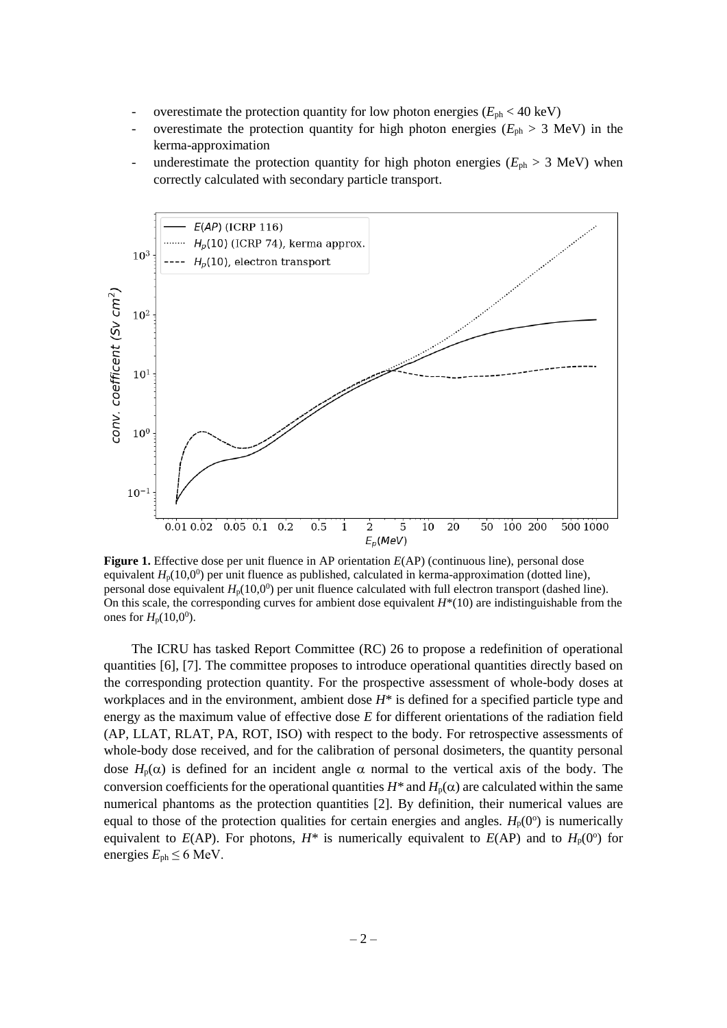- overestimate the protection quantity for low photon energies  $(E_{ph} < 40 \text{ keV})$
- overestimate the protection quantity for high photon energies  $(E_{ph} > 3 \text{ MeV})$  in the kerma-approximation
- underestimate the protection quantity for high photon energies ( $E_{ph} > 3$  MeV) when correctly calculated with secondary particle transport.



**Figure 1.** Effective dose per unit fluence in AP orientation *E*(AP) (continuous line), personal dose equivalent  $H_p(10,0^0)$  per unit fluence as published, calculated in kerma-approximation (dotted line), personal dose equivalent  $H_p(10,0^0)$  per unit fluence calculated with full electron transport (dashed line). On this scale, the corresponding curves for ambient dose equivalent *H*\*(10) are indistinguishable from the ones for  $H_p(10,0^0)$ .

The ICRU has tasked Report Committee (RC) 26 to propose a redefinition of operational quantities [6], [7]. The committee proposes to introduce operational quantities directly based on the corresponding protection quantity. For the prospective assessment of whole-body doses at workplaces and in the environment, ambient dose *H*\* is defined for a specified particle type and energy as the maximum value of effective dose *E* for different orientations of the radiation field (AP, LLAT, RLAT, PA, ROT, ISO) with respect to the body. For retrospective assessments of whole-body dose received, and for the calibration of personal dosimeters, the quantity personal dose  $H_p(\alpha)$  is defined for an incident angle  $\alpha$  normal to the vertical axis of the body. The conversion coefficients for the operational quantities  $H^*$  and  $H_p(\alpha)$  are calculated within the same numerical phantoms as the protection quantities [2]. By definition, their numerical values are equal to those of the protection qualities for certain energies and angles.  $H_p(0^{\circ})$  is numerically equivalent to  $E(AP)$ . For photons,  $H^*$  is numerically equivalent to  $E(AP)$  and to  $H_p(0^{\circ})$  for energies  $E_{ph} \leq 6$  MeV.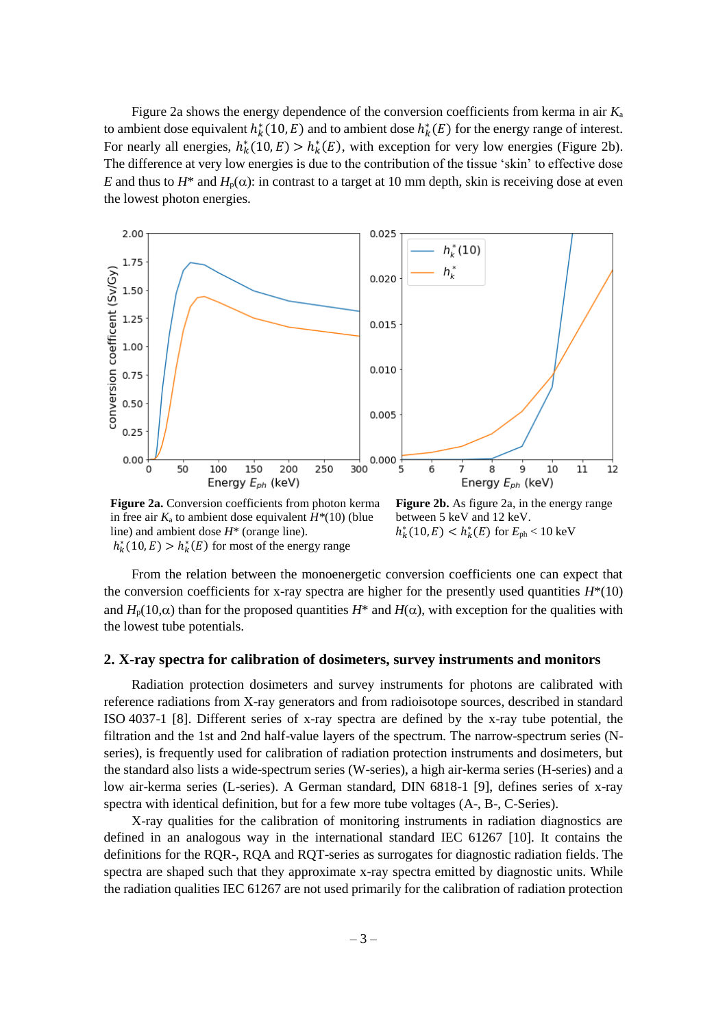Figure 2a shows the energy dependence of the conversion coefficients from kerma in air *K*<sup>a</sup> to ambient dose equivalent  $h_k^*(10, E)$  and to ambient dose  $h_k^*(E)$  for the energy range of interest. For nearly all energies,  $h_k^*(10, E) > h_k^*(E)$ , with exception for very low energies (Figure 2b). The difference at very low energies is due to the contribution of the tissue 'skin' to effective dose *E* and thus to  $H^*$  and  $H_p(\alpha)$ : in contrast to a target at 10 mm depth, skin is receiving dose at even the lowest photon energies.



**Figure 2a.** Conversion coefficients from photon kerma in free air  $K_a$  to ambient dose equivalent  $H^*(10)$  (blue line) and ambient dose *H*\* (orange line).  $h_k^*(10, E) > h_k^*(E)$  for most of the energy range

**Figure 2b.** As figure 2a, in the energy range between 5 keV and 12 keV.  $h_k^*(10, E) < h_k^*(E)$  for  $E_{ph} < 10$  keV

From the relation between the monoenergetic conversion coefficients one can expect that the conversion coefficients for x-ray spectra are higher for the presently used quantities  $H^*(10)$ and  $H_p(10,\alpha)$  than for the proposed quantities  $H^*$  and  $H(\alpha)$ , with exception for the qualities with the lowest tube potentials.

#### **2. X-ray spectra for calibration of dosimeters, survey instruments and monitors**

Radiation protection dosimeters and survey instruments for photons are calibrated with reference radiations from X-ray generators and from radioisotope sources, described in standard ISO 4037-1 [8]. Different series of x-ray spectra are defined by the x-ray tube potential, the filtration and the 1st and 2nd half-value layers of the spectrum. The narrow-spectrum series (Nseries), is frequently used for calibration of radiation protection instruments and dosimeters, but the standard also lists a wide-spectrum series (W-series), a high air-kerma series (H-series) and a low air-kerma series (L-series). A German standard, DIN 6818-1 [9], defines series of x-ray spectra with identical definition, but for a few more tube voltages (A-, B-, C-Series).

X-ray qualities for the calibration of monitoring instruments in radiation diagnostics are defined in an analogous way in the international standard IEC 61267 [10]. It contains the definitions for the RQR-, RQA and RQT-series as surrogates for diagnostic radiation fields. The spectra are shaped such that they approximate x-ray spectra emitted by diagnostic units. While the radiation qualities IEC 61267 are not used primarily for the calibration of radiation protection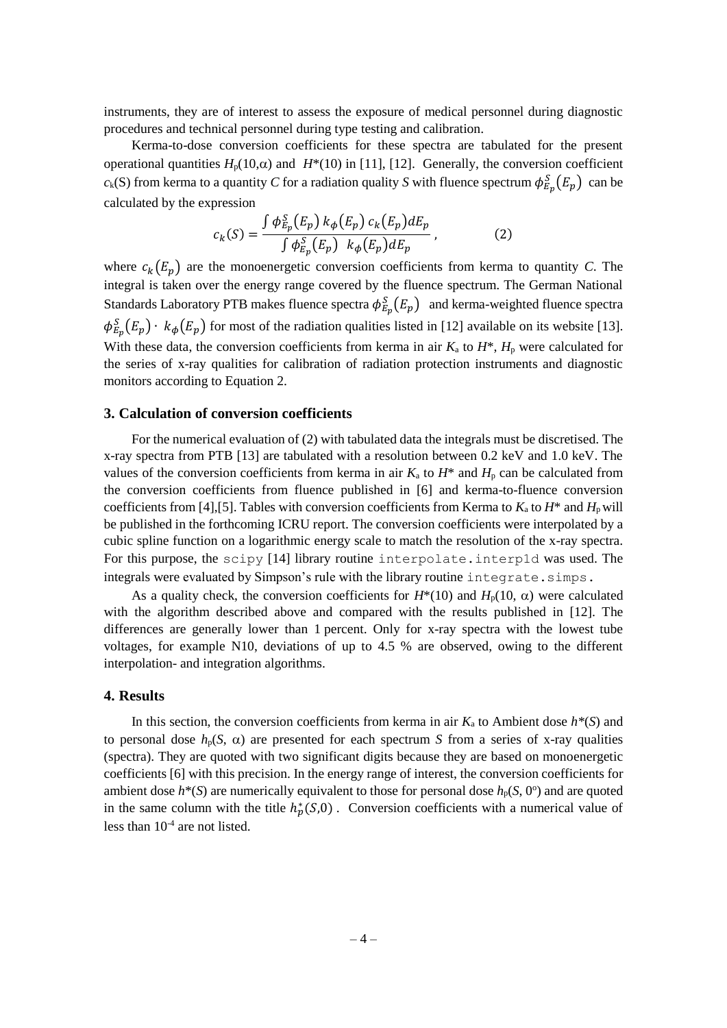instruments, they are of interest to assess the exposure of medical personnel during diagnostic procedures and technical personnel during type testing and calibration.

Kerma-to-dose conversion coefficients for these spectra are tabulated for the present operational quantities  $H_p(10,\alpha)$  and  $H^*(10)$  in [11], [12]. Generally, the conversion coefficient  $c_k(S)$  from kerma to a quantity *C* for a radiation quality *S* with fluence spectrum  $\phi_{E_p}^S(E_p)$  can be calculated by the expression

$$
c_k(S) = \frac{\int \phi_{E_p}^S(E_p) k_{\phi}(E_p) c_k(E_p) dE_p}{\int \phi_{E_p}^S(E_p) k_{\phi}(E_p) dE_p},
$$
\n(2)

where  $c_k(E_p)$  are the monoenergetic conversion coefficients from kerma to quantity *C*. The integral is taken over the energy range covered by the fluence spectrum. The German National Standards Laboratory PTB makes fluence spectra  $\phi_{E_p}^S(E_p)$  and kerma-weighted fluence spectra  $\phi_{E_p}^S(E_p) \cdot k_\phi(E_p)$  for most of the radiation qualities listed in [12] available on its website [13]. With these data, the conversion coefficients from kerma in air  $K_a$  to  $H^*$ ,  $H_p$  were calculated for the series of x-ray qualities for calibration of radiation protection instruments and diagnostic monitors according to Equation 2.

#### **3. Calculation of conversion coefficients**

For the numerical evaluation of (2) with tabulated data the integrals must be discretised. The x-ray spectra from PTB [13] are tabulated with a resolution between 0.2 keV and 1.0 keV. The values of the conversion coefficients from kerma in air  $K_a$  to  $H^*$  and  $H_p$  can be calculated from the conversion coefficients from fluence published in [6] and kerma-to-fluence conversion coefficients from [4], [5]. Tables with conversion coefficients from Kerma to  $K_a$  to  $H^*$  and  $H_p$  will be published in the forthcoming ICRU report. The conversion coefficients were interpolated by a cubic spline function on a logarithmic energy scale to match the resolution of the x-ray spectra. For this purpose, the scipy [14] library routine interpolate.interp1d was used. The integrals were evaluated by Simpson's rule with the library routine integrate.simps.

As a quality check, the conversion coefficients for  $H^*(10)$  and  $H_p(10, \alpha)$  were calculated with the algorithm described above and compared with the results published in [12]. The differences are generally lower than 1 percent. Only for x-ray spectra with the lowest tube voltages, for example N10, deviations of up to 4.5 % are observed, owing to the different interpolation- and integration algorithms.

#### **4. Results**

In this section, the conversion coefficients from kerma in air  $K_a$  to Ambient dose  $h^*(S)$  and to personal dose  $h<sub>p</sub>(S, \alpha)$  are presented for each spectrum *S* from a series of x-ray qualities (spectra). They are quoted with two significant digits because they are based on monoenergetic coefficients [6] with this precision. In the energy range of interest, the conversion coefficients for ambient dose  $h^*(S)$  are numerically equivalent to those for personal dose  $h_p(S, 0^{\circ})$  and are quoted in the same column with the title  $h_p^*(S,0)$ . Conversion coefficients with a numerical value of less than 10-4 are not listed.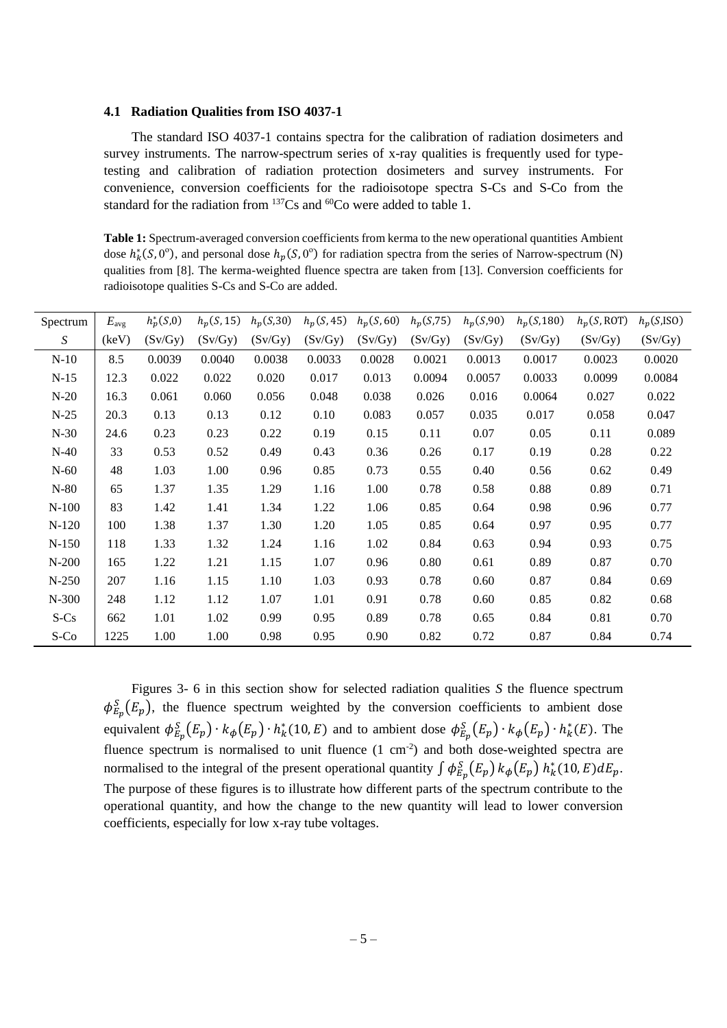#### **4.1 Radiation Qualities from ISO 4037-1**

The standard ISO 4037-1 contains spectra for the calibration of radiation dosimeters and survey instruments. The narrow-spectrum series of x-ray qualities is frequently used for typetesting and calibration of radiation protection dosimeters and survey instruments. For convenience, conversion coefficients for the radioisotope spectra S-Cs and S-Co from the standard for the radiation from <sup>137</sup>Cs and <sup>60</sup>Co were added to table 1.

**Table 1:** Spectrum-averaged conversion coefficients from kerma to the new operational quantities Ambient dose  $h_k^*(S, 0^\circ)$ , and personal dose  $h_p(S, 0^\circ)$  for radiation spectra from the series of Narrow-spectrum (N) qualities from [8]. The kerma-weighted fluence spectra are taken from [13]. Conversion coefficients for radioisotope qualities S-Cs and S-Co are added.

| Spectrum | $E_{\rm avg}$ | $h_p^*(S,0)$ | $h_p(S, 15)$ | $h_p(S,30)$ | $h_p(S, 45)$ | $h_p(S, 60)$ | $h_p(S, 75)$ | $h_p(S,90)$ | $h_p(S, 180)$ | $h_p(S, ROT)$ | $h_p(S,ISO)$ |
|----------|---------------|--------------|--------------|-------------|--------------|--------------|--------------|-------------|---------------|---------------|--------------|
| S        | (keV)         | (Sv/Gy)      | (Sv/Gy)      | (Sv/Gy)     | (Sv/Gy)      | (Sv/Gy)      | (Sv/Gy)      | (Sv/Gy)     | (Sv/Gy)       | (Sv/Gy)       | (Sv/Gy)      |
| $N-10$   | 8.5           | 0.0039       | 0.0040       | 0.0038      | 0.0033       | 0.0028       | 0.0021       | 0.0013      | 0.0017        | 0.0023        | 0.0020       |
| $N-15$   | 12.3          | 0.022        | 0.022        | 0.020       | 0.017        | 0.013        | 0.0094       | 0.0057      | 0.0033        | 0.0099        | 0.0084       |
| $N-20$   | 16.3          | 0.061        | 0.060        | 0.056       | 0.048        | 0.038        | 0.026        | 0.016       | 0.0064        | 0.027         | 0.022        |
| $N-25$   | 20.3          | 0.13         | 0.13         | 0.12        | 0.10         | 0.083        | 0.057        | 0.035       | 0.017         | 0.058         | 0.047        |
| $N-30$   | 24.6          | 0.23         | 0.23         | 0.22        | 0.19         | 0.15         | 0.11         | 0.07        | 0.05          | 0.11          | 0.089        |
| $N-40$   | 33            | 0.53         | 0.52         | 0.49        | 0.43         | 0.36         | 0.26         | 0.17        | 0.19          | 0.28          | 0.22         |
| $N-60$   | 48            | 1.03         | 1.00         | 0.96        | 0.85         | 0.73         | 0.55         | 0.40        | 0.56          | 0.62          | 0.49         |
| $N-80$   | 65            | 1.37         | 1.35         | 1.29        | 1.16         | 1.00         | 0.78         | 0.58        | 0.88          | 0.89          | 0.71         |
| $N-100$  | 83            | 1.42         | 1.41         | 1.34        | 1.22         | 1.06         | 0.85         | 0.64        | 0.98          | 0.96          | 0.77         |
| $N-120$  | 100           | 1.38         | 1.37         | 1.30        | 1.20         | 1.05         | 0.85         | 0.64        | 0.97          | 0.95          | 0.77         |
| $N-150$  | 118           | 1.33         | 1.32         | 1.24        | 1.16         | 1.02         | 0.84         | 0.63        | 0.94          | 0.93          | 0.75         |
| $N-200$  | 165           | 1.22         | 1.21         | 1.15        | 1.07         | 0.96         | 0.80         | 0.61        | 0.89          | 0.87          | 0.70         |
| $N-250$  | 207           | 1.16         | 1.15         | 1.10        | 1.03         | 0.93         | 0.78         | 0.60        | 0.87          | 0.84          | 0.69         |
| N-300    | 248           | 1.12         | 1.12         | 1.07        | 1.01         | 0.91         | 0.78         | 0.60        | 0.85          | 0.82          | 0.68         |
| $S-Cs$   | 662           | 1.01         | 1.02         | 0.99        | 0.95         | 0.89         | 0.78         | 0.65        | 0.84          | 0.81          | 0.70         |
| S-Co     | 1225          | 1.00         | 1.00         | 0.98        | 0.95         | 0.90         | 0.82         | 0.72        | 0.87          | 0.84          | 0.74         |

Figures 3- 6 in this section show for selected radiation qualities *S* the fluence spectrum  $\phi_{E_p}^S(E_p)$ , the fluence spectrum weighted by the conversion coefficients to ambient dose equivalent  $\phi_{E_p}^S(E_p) \cdot k_\phi(E_p) \cdot h_k^*(10, E)$  and to ambient dose  $\phi_{E_p}^S(E_p) \cdot k_\phi(E_p) \cdot h_k^*(E)$ . The fluence spectrum is normalised to unit fluence  $(1 \text{ cm}^{-2})$  and both dose-weighted spectra are normalised to the integral of the present operational quantity  $\int \phi_{E_p}^S(E_p) k_\phi(E_p) h_k^*(10,E) dE_p$ . The purpose of these figures is to illustrate how different parts of the spectrum contribute to the operational quantity, and how the change to the new quantity will lead to lower conversion coefficients, especially for low x-ray tube voltages.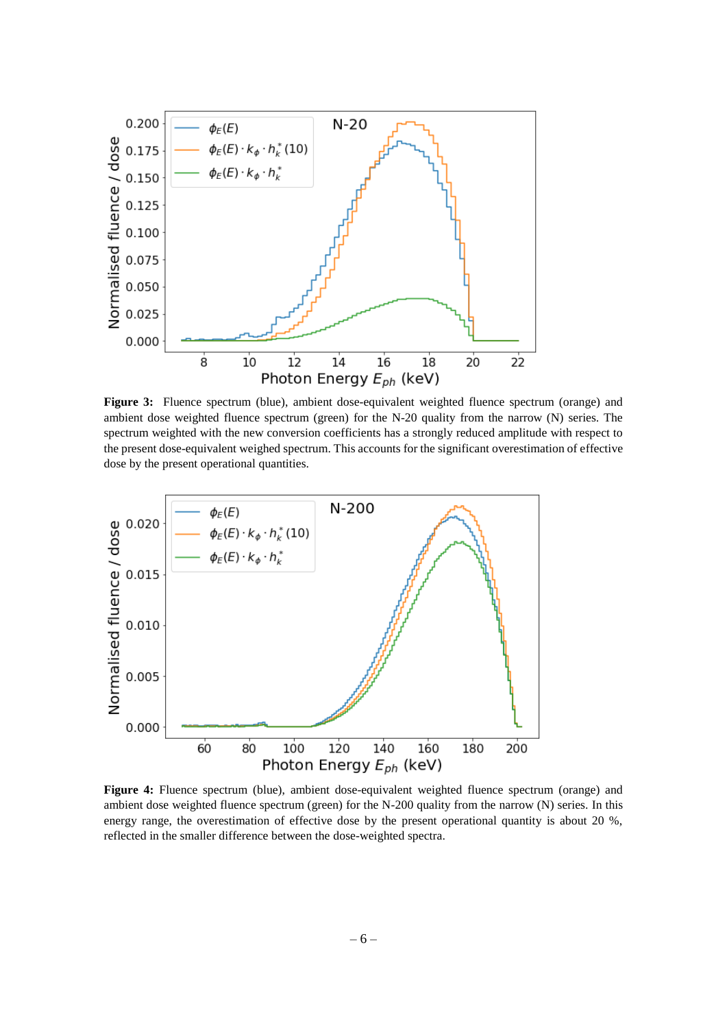

**Figure 3:** Fluence spectrum (blue), ambient dose-equivalent weighted fluence spectrum (orange) and ambient dose weighted fluence spectrum (green) for the N-20 quality from the narrow (N) series. The spectrum weighted with the new conversion coefficients has a strongly reduced amplitude with respect to the present dose-equivalent weighed spectrum. This accounts for the significant overestimation of effective dose by the present operational quantities.



**Figure 4:** Fluence spectrum (blue), ambient dose-equivalent weighted fluence spectrum (orange) and ambient dose weighted fluence spectrum (green) for the N-200 quality from the narrow (N) series. In this energy range, the overestimation of effective dose by the present operational quantity is about 20 %, reflected in the smaller difference between the dose-weighted spectra.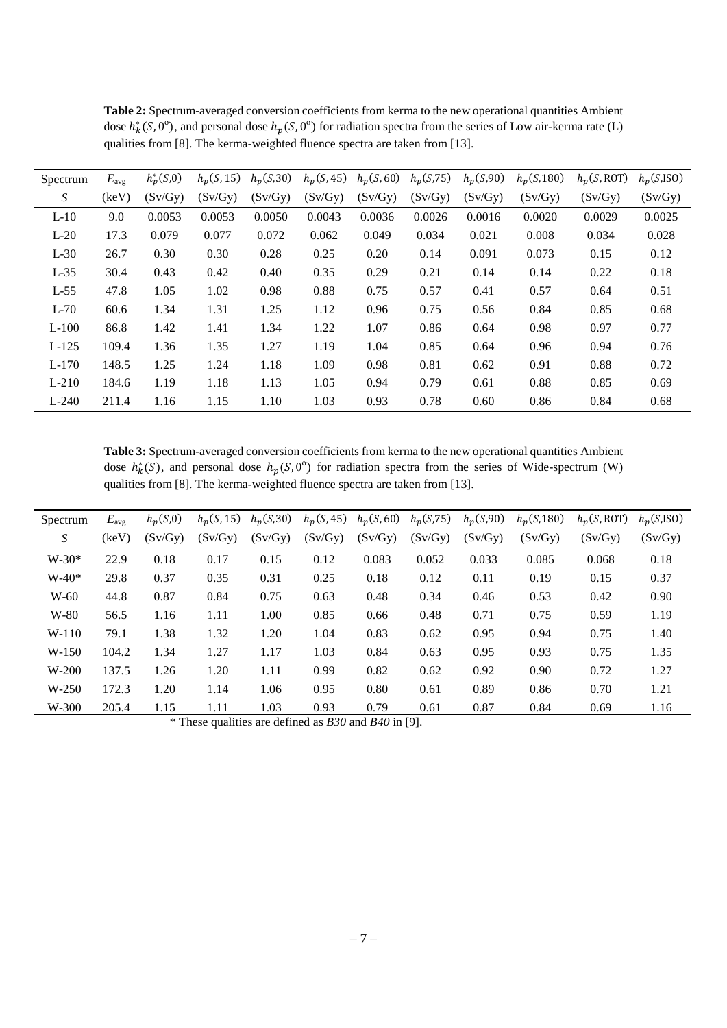| Spectrum | $E_{\text{avg}}$ | $h_p^*(S,0)$ | $h_p(S, 15)$ | $h_p(S,30)$ |         | $h_p(S, 45)$ $h_p(S, 60)$ $h_p(S, 75)$ |         | $h_p(S,90)$ | $h_p(S, 180)$ | $h_p(S, ROT)$ | $h_p(S,ISO)$ |
|----------|------------------|--------------|--------------|-------------|---------|----------------------------------------|---------|-------------|---------------|---------------|--------------|
| S        | (keV)            | (Sv/Gy)      | (Sv/Gy)      | (Sv/Gy)     | (Sv/Gy) | (Sv/Gy)                                | (Sv/Gy) | (Sv/Gy)     | (Sv/Gy)       | (Sv/Gy)       | (Sv/Gy)      |
| $L-10$   | 9.0              | 0.0053       | 0.0053       | 0.0050      | 0.0043  | 0.0036                                 | 0.0026  | 0.0016      | 0.0020        | 0.0029        | 0.0025       |
| $L-20$   | 17.3             | 0.079        | 0.077        | 0.072       | 0.062   | 0.049                                  | 0.034   | 0.021       | 0.008         | 0.034         | 0.028        |
| $L-30$   | 26.7             | 0.30         | 0.30         | 0.28        | 0.25    | 0.20                                   | 0.14    | 0.091       | 0.073         | 0.15          | 0.12         |
| $L-35$   | 30.4             | 0.43         | 0.42         | 0.40        | 0.35    | 0.29                                   | 0.21    | 0.14        | 0.14          | 0.22          | 0.18         |
| $L-55$   | 47.8             | 1.05         | 1.02         | 0.98        | 0.88    | 0.75                                   | 0.57    | 0.41        | 0.57          | 0.64          | 0.51         |
| $L-70$   | 60.6             | 1.34         | 1.31         | 1.25        | 1.12    | 0.96                                   | 0.75    | 0.56        | 0.84          | 0.85          | 0.68         |
| $L-100$  | 86.8             | 1.42         | 1.41         | 1.34        | 1.22    | 1.07                                   | 0.86    | 0.64        | 0.98          | 0.97          | 0.77         |
| $L-125$  | 109.4            | 1.36         | 1.35         | 1.27        | 1.19    | 1.04                                   | 0.85    | 0.64        | 0.96          | 0.94          | 0.76         |
| $L-170$  | 148.5            | 1.25         | 1.24         | 1.18        | 1.09    | 0.98                                   | 0.81    | 0.62        | 0.91          | 0.88          | 0.72         |
| $L-210$  | 184.6            | 1.19         | 1.18         | 1.13        | 1.05    | 0.94                                   | 0.79    | 0.61        | 0.88          | 0.85          | 0.69         |
| $L-240$  | 211.4            | 1.16         | 1.15         | 1.10        | 1.03    | 0.93                                   | 0.78    | 0.60        | 0.86          | 0.84          | 0.68         |

**Table 2:** Spectrum-averaged conversion coefficients from kerma to the new operational quantities Ambient dose  $h_k^*(S, 0^\circ)$ , and personal dose  $h_p(S, 0^\circ)$  for radiation spectra from the series of Low air-kerma rate (L) qualities from [8]. The kerma-weighted fluence spectra are taken from [13].

**Table 3:** Spectrum-averaged conversion coefficients from kerma to the new operational quantities Ambient dose  $h_k^*(S)$ , and personal dose  $h_p(S, 0^{\circ})$  for radiation spectra from the series of Wide-spectrum (W) qualities from [8]. The kerma-weighted fluence spectra are taken from [13].

| Spectrum | $E_{\rm avg}$ | $h_n(S,0)$ |         |         | $h_p(S, 15)$ $h_p(S, 30)$ $h_p(S, 45)$ $h_p(S, 60)$ $h_p(S, 75)$ $h_p(S, 90)$ |         |         |         | $h_p(S, 180)$ | $h_n(S, ROT)$ | $h_n(S,ISO)$ |
|----------|---------------|------------|---------|---------|-------------------------------------------------------------------------------|---------|---------|---------|---------------|---------------|--------------|
| S        | (keV)         | (Sv/Gy)    | (Sv/Gy) | (Sv/Gy) | (Sv/Gy)                                                                       | (Sv/Gy) | (Sv/Gy) | (Sv/Gy) | (Sv/Gv)       | (Sv/Gy)       | (Sv/Gy)      |
| $W-30*$  | 22.9          | 0.18       | 0.17    | 0.15    | 0.12                                                                          | 0.083   | 0.052   | 0.033   | 0.085         | 0.068         | 0.18         |
| $W-40*$  | 29.8          | 0.37       | 0.35    | 0.31    | 0.25                                                                          | 0.18    | 0.12    | 0.11    | 0.19          | 0.15          | 0.37         |
| $W-60$   | 44.8          | 0.87       | 0.84    | 0.75    | 0.63                                                                          | 0.48    | 0.34    | 0.46    | 0.53          | 0.42          | 0.90         |
| W-80     | 56.5          | 1.16       | 1.11    | 1.00    | 0.85                                                                          | 0.66    | 0.48    | 0.71    | 0.75          | 0.59          | 1.19         |
| $W-110$  | 79.1          | 1.38       | 1.32    | 1.20    | 1.04                                                                          | 0.83    | 0.62    | 0.95    | 0.94          | 0.75          | 1.40         |
| $W-150$  | 104.2         | 1.34       | 1.27    | 1.17    | 1.03                                                                          | 0.84    | 0.63    | 0.95    | 0.93          | 0.75          | 1.35         |
| $W-200$  | 137.5         | 1.26       | 1.20    | 1.11    | 0.99                                                                          | 0.82    | 0.62    | 0.92    | 0.90          | 0.72          | 1.27         |
| $W-250$  | 172.3         | 1.20       | 1.14    | 1.06    | 0.95                                                                          | 0.80    | 0.61    | 0.89    | 0.86          | 0.70          | 1.21         |
| W-300    | 205.4         | 1.15       | 1.11    | 1.03    | 0.93                                                                          | 0.79    | 0.61    | 0.87    | 0.84          | 0.69          | 1.16         |

\* These qualities are defined as *B30* and *B40* in [9].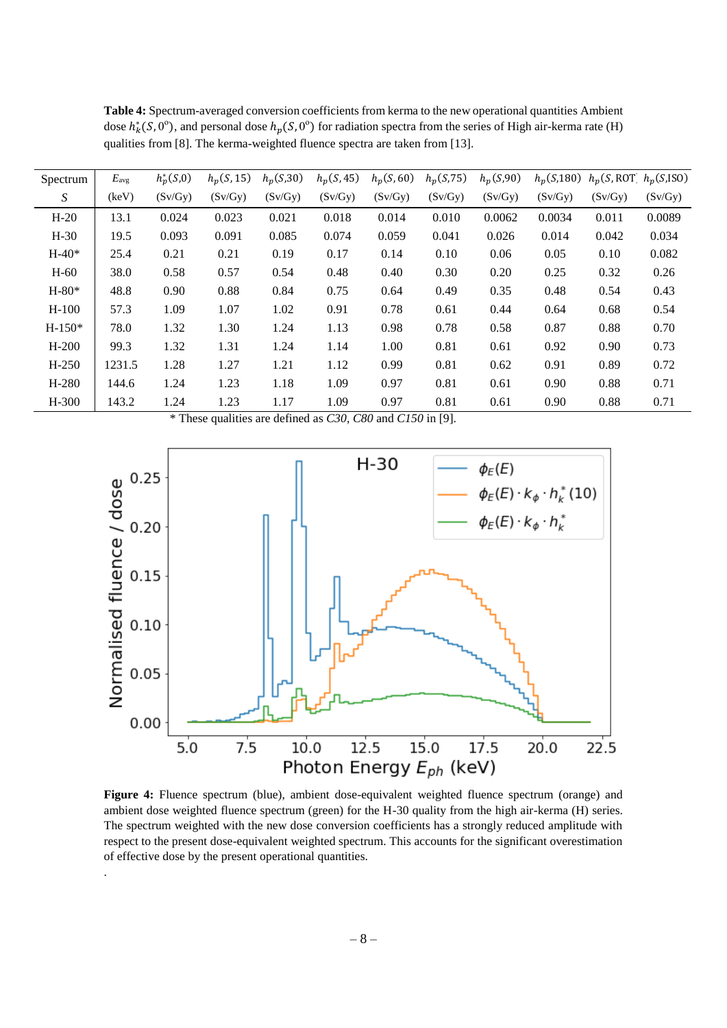| Spectrum | $E_{\text{avg}}$ | $h_p^*(S,0)$ | $h_p(S, 15)$ | $h_p(S,30)$ | $h_p(S, 45)$ | $h_p(S, 60)$ | $h_p(S, 75)$ | $h_p(S,90)$ |         | $h_n(S,180)$ $h_n(S,ROT)$ $h_n(S,ISO)$ |         |
|----------|------------------|--------------|--------------|-------------|--------------|--------------|--------------|-------------|---------|----------------------------------------|---------|
| S        | (keV)            | (Sv/Gy)      | (Sv/Gy)      | (Sv/Gy)     | (Sv/Gy)      | (Sv/Gy)      | (Sv/Gy)      | (Sv/Gy)     | (Sv/Gy) | (Sv/Gy)                                | (Sv/Gy) |
| $H-20$   | 13.1             | 0.024        | 0.023        | 0.021       | 0.018        | 0.014        | 0.010        | 0.0062      | 0.0034  | 0.011                                  | 0.0089  |
| $H-30$   | 19.5             | 0.093        | 0.091        | 0.085       | 0.074        | 0.059        | 0.041        | 0.026       | 0.014   | 0.042                                  | 0.034   |
| $H-40*$  | 25.4             | 0.21         | 0.21         | 0.19        | 0.17         | 0.14         | 0.10         | 0.06        | 0.05    | 0.10                                   | 0.082   |
| $H-60$   | 38.0             | 0.58         | 0.57         | 0.54        | 0.48         | 0.40         | 0.30         | 0.20        | 0.25    | 0.32                                   | 0.26    |
| $H-80*$  | 48.8             | 0.90         | 0.88         | 0.84        | 0.75         | 0.64         | 0.49         | 0.35        | 0.48    | 0.54                                   | 0.43    |
| $H-100$  | 57.3             | 1.09         | 1.07         | 1.02        | 0.91         | 0.78         | 0.61         | 0.44        | 0.64    | 0.68                                   | 0.54    |
| $H-150*$ | 78.0             | 1.32         | 1.30         | 1.24        | 1.13         | 0.98         | 0.78         | 0.58        | 0.87    | 0.88                                   | 0.70    |
| $H-200$  | 99.3             | 1.32         | 1.31         | 1.24        | 1.14         | 1.00         | 0.81         | 0.61        | 0.92    | 0.90                                   | 0.73    |
| H-250    | 1231.5           | 1.28         | 1.27         | 1.21        | 1.12         | 0.99         | 0.81         | 0.62        | 0.91    | 0.89                                   | 0.72    |
| H-280    | 144.6            | 1.24         | 1.23         | 1.18        | 1.09         | 0.97         | 0.81         | 0.61        | 0.90    | 0.88                                   | 0.71    |
| $H-300$  | 143.2            | 1.24         | 1.23         | 1.17        | 1.09         | 0.97         | 0.81         | 0.61        | 0.90    | 0.88                                   | 0.71    |

**Table 4:** Spectrum-averaged conversion coefficients from kerma to the new operational quantities Ambient dose  $h_k^*(S, 0^\circ)$ , and personal dose  $h_p(S, 0^\circ)$  for radiation spectra from the series of High air-kerma rate (H) qualities from [8]. The kerma-weighted fluence spectra are taken from [13].

\* These qualities are defined as *C30, C80* and *C150* in [9].



**Figure 4:** Fluence spectrum (blue), ambient dose-equivalent weighted fluence spectrum (orange) and ambient dose weighted fluence spectrum (green) for the H-30 quality from the high air-kerma (H) series. The spectrum weighted with the new dose conversion coefficients has a strongly reduced amplitude with respect to the present dose-equivalent weighted spectrum. This accounts for the significant overestimation of effective dose by the present operational quantities.

.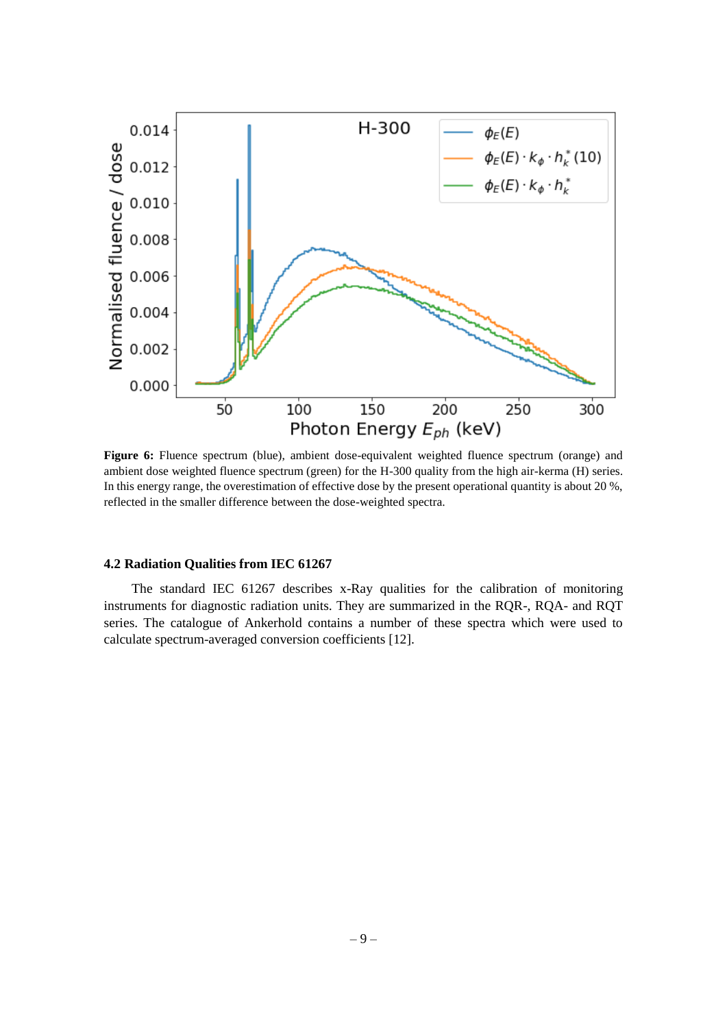

**Figure 6:** Fluence spectrum (blue), ambient dose-equivalent weighted fluence spectrum (orange) and ambient dose weighted fluence spectrum (green) for the H-300 quality from the high air-kerma (H) series. In this energy range, the overestimation of effective dose by the present operational quantity is about 20 %, reflected in the smaller difference between the dose-weighted spectra.

### **4.2 Radiation Qualities from IEC 61267**

The standard IEC 61267 describes x-Ray qualities for the calibration of monitoring instruments for diagnostic radiation units. They are summarized in the RQR-, RQA- and RQT series. The catalogue of Ankerhold contains a number of these spectra which were used to calculate spectrum-averaged conversion coefficients [12].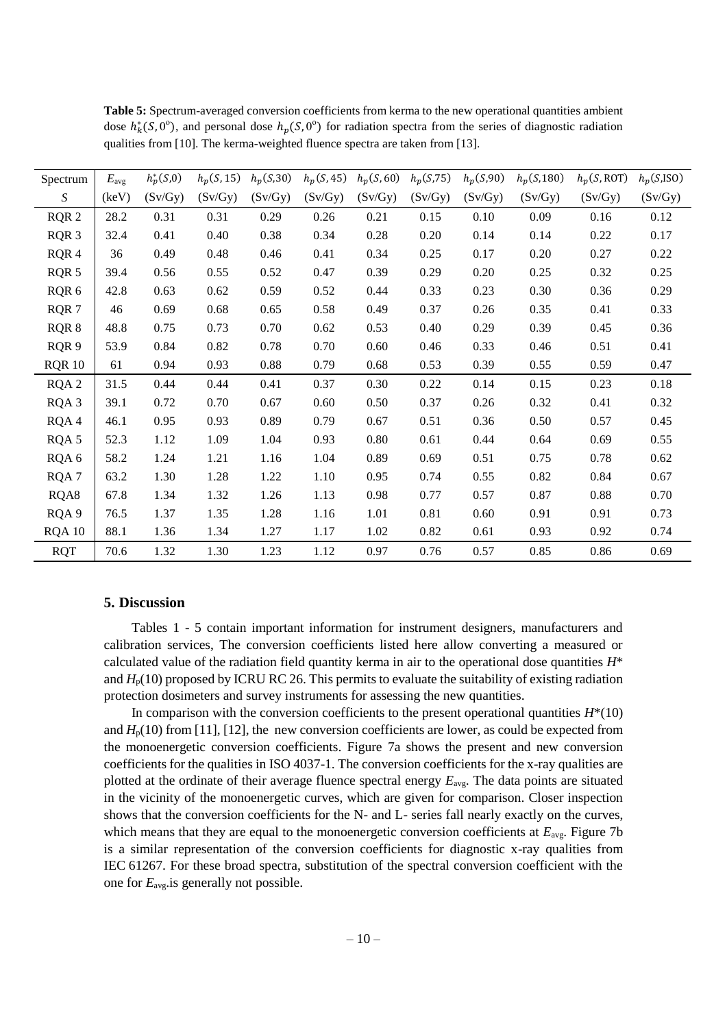| Spectrum         | $E_{\rm avg}$ | $h_p^*(S,0)$ | $h_p(S, 15)$ | $h_p(S,30)$ | $h_p(S, 45)$ | $h_p(S,60)$ | $h_p(S,75)$ | $h_p(S,90)$ | $h_p(S, 180)$ | $h_p(S, \text{ROT})$ | $h_p(S,ISO)$ |
|------------------|---------------|--------------|--------------|-------------|--------------|-------------|-------------|-------------|---------------|----------------------|--------------|
| S                | (key)         | (Sv/Gy)      | (Sv/Gy)      | (Sv/Gy)     | (Sv/Gy)      | (Sv/Gy)     | (Sv/Gy)     | (Sv/Gy)     | (Sv/Gy)       | (Sv/Gy)              | (Sv/Gy)      |
| RQR 2            | 28.2          | 0.31         | 0.31         | 0.29        | 0.26         | 0.21        | 0.15        | 0.10        | 0.09          | 0.16                 | 0.12         |
| RQR <sub>3</sub> | 32.4          | 0.41         | 0.40         | 0.38        | 0.34         | 0.28        | 0.20        | 0.14        | 0.14          | 0.22                 | 0.17         |
| RQR 4            | 36            | 0.49         | $0.48\,$     | 0.46        | 0.41         | 0.34        | 0.25        | 0.17        | 0.20          | 0.27                 | 0.22         |
| RQR 5            | 39.4          | 0.56         | 0.55         | 0.52        | 0.47         | 0.39        | 0.29        | 0.20        | 0.25          | 0.32                 | 0.25         |
| RQR 6            | 42.8          | 0.63         | 0.62         | 0.59        | 0.52         | 0.44        | 0.33        | 0.23        | 0.30          | 0.36                 | 0.29         |
| RQR 7            | 46            | 0.69         | 0.68         | 0.65        | 0.58         | 0.49        | 0.37        | 0.26        | 0.35          | 0.41                 | 0.33         |
| RQR 8            | 48.8          | 0.75         | 0.73         | 0.70        | 0.62         | 0.53        | 0.40        | 0.29        | 0.39          | 0.45                 | 0.36         |
| RQR 9            | 53.9          | 0.84         | 0.82         | 0.78        | 0.70         | 0.60        | 0.46        | 0.33        | 0.46          | 0.51                 | 0.41         |
| <b>RQR 10</b>    | 61            | 0.94         | 0.93         | 0.88        | 0.79         | 0.68        | 0.53        | 0.39        | 0.55          | 0.59                 | 0.47         |
| RQA <sub>2</sub> | 31.5          | 0.44         | 0.44         | 0.41        | 0.37         | 0.30        | 0.22        | 0.14        | 0.15          | 0.23                 | 0.18         |
| RQA <sub>3</sub> | 39.1          | 0.72         | 0.70         | 0.67        | 0.60         | 0.50        | 0.37        | 0.26        | 0.32          | 0.41                 | 0.32         |
| RQA4             | 46.1          | 0.95         | 0.93         | 0.89        | 0.79         | 0.67        | 0.51        | 0.36        | 0.50          | 0.57                 | 0.45         |
| RQA 5            | 52.3          | 1.12         | 1.09         | 1.04        | 0.93         | 0.80        | 0.61        | 0.44        | 0.64          | 0.69                 | 0.55         |
| RQA 6            | 58.2          | 1.24         | 1.21         | 1.16        | 1.04         | 0.89        | 0.69        | 0.51        | 0.75          | 0.78                 | 0.62         |
| RQA7             | 63.2          | 1.30         | 1.28         | 1.22        | 1.10         | 0.95        | 0.74        | 0.55        | 0.82          | 0.84                 | 0.67         |
| RQA8             | 67.8          | 1.34         | 1.32         | 1.26        | 1.13         | 0.98        | 0.77        | 0.57        | 0.87          | 0.88                 | 0.70         |
| RQA 9            | 76.5          | 1.37         | 1.35         | 1.28        | 1.16         | 1.01        | 0.81        | 0.60        | 0.91          | 0.91                 | 0.73         |
| <b>RQA 10</b>    | 88.1          | 1.36         | 1.34         | 1.27        | 1.17         | 1.02        | 0.82        | 0.61        | 0.93          | 0.92                 | 0.74         |
| <b>RQT</b>       | 70.6          | 1.32         | 1.30         | 1.23        | 1.12         | 0.97        | 0.76        | 0.57        | 0.85          | 0.86                 | 0.69         |

**Table 5:** Spectrum-averaged conversion coefficients from kerma to the new operational quantities ambient dose  $h_k^*(S, 0^\circ)$ , and personal dose  $h_p(S, 0^\circ)$  for radiation spectra from the series of diagnostic radiation qualities from [10]. The kerma-weighted fluence spectra are taken from [13].

# **5. Discussion**

Tables 1 - 5 contain important information for instrument designers, manufacturers and calibration services, The conversion coefficients listed here allow converting a measured or calculated value of the radiation field quantity kerma in air to the operational dose quantities *H*\* and  $H<sub>p</sub>(10)$  proposed by ICRU RC 26. This permits to evaluate the suitability of existing radiation protection dosimeters and survey instruments for assessing the new quantities.

In comparison with the conversion coefficients to the present operational quantities  $H^*(10)$ and  $H<sub>p</sub>(10)$  from [11], [12], the new conversion coefficients are lower, as could be expected from the monoenergetic conversion coefficients. Figure 7a shows the present and new conversion coefficients for the qualities in ISO 4037-1. The conversion coefficients for the x-ray qualities are plotted at the ordinate of their average fluence spectral energy *E*avg. The data points are situated in the vicinity of the monoenergetic curves, which are given for comparison. Closer inspection shows that the conversion coefficients for the N- and L- series fall nearly exactly on the curves, which means that they are equal to the monoenergetic conversion coefficients at  $E_{\text{avg}}$ . Figure 7b is a similar representation of the conversion coefficients for diagnostic x-ray qualities from IEC 61267. For these broad spectra, substitution of the spectral conversion coefficient with the one for *E*avg.is generally not possible.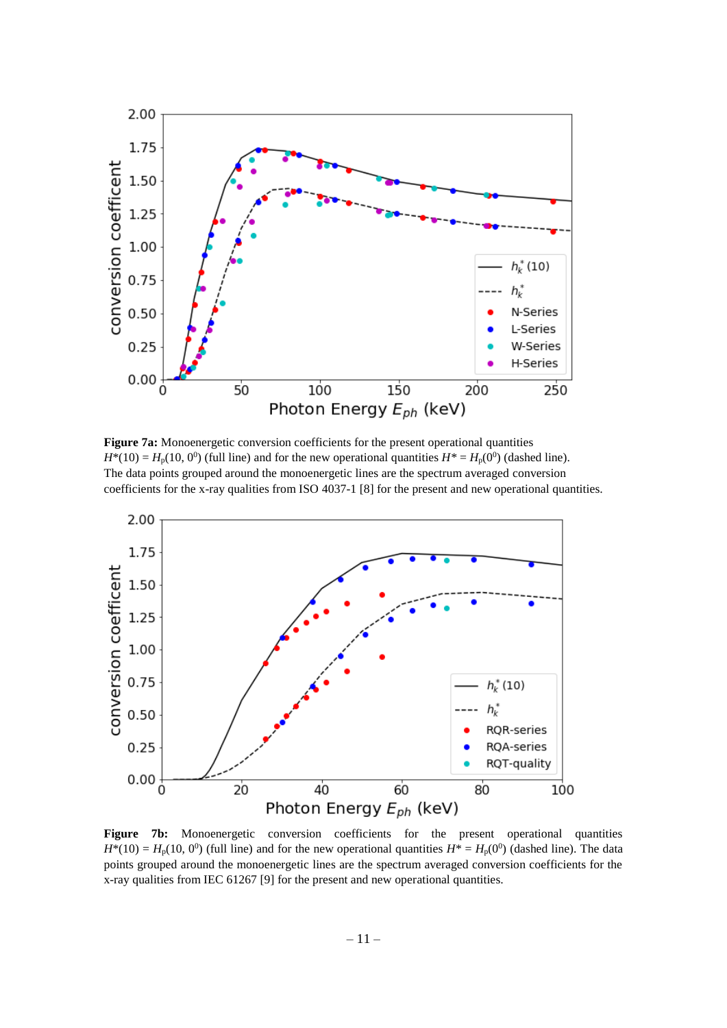

**Figure 7a:** Monoenergetic conversion coefficients for the present operational quantities  $H^{*}(10) = H_{p}(10, 0^{0})$  (full line) and for the new operational quantities  $H^{*} = H_{p}(0^{0})$  (dashed line). The data points grouped around the monoenergetic lines are the spectrum averaged conversion coefficients for the x-ray qualities from ISO 4037-1 [8] for the present and new operational quantities.



Figure 7b: Monoenergetic conversion coefficients for the present operational quantities  $H^{*}(10) = H_{p}(10, 0^{0})$  (full line) and for the new operational quantities  $H^{*} = H_{p}(0^{0})$  (dashed line). The data points grouped around the monoenergetic lines are the spectrum averaged conversion coefficients for the x-ray qualities from IEC 61267 [9] for the present and new operational quantities.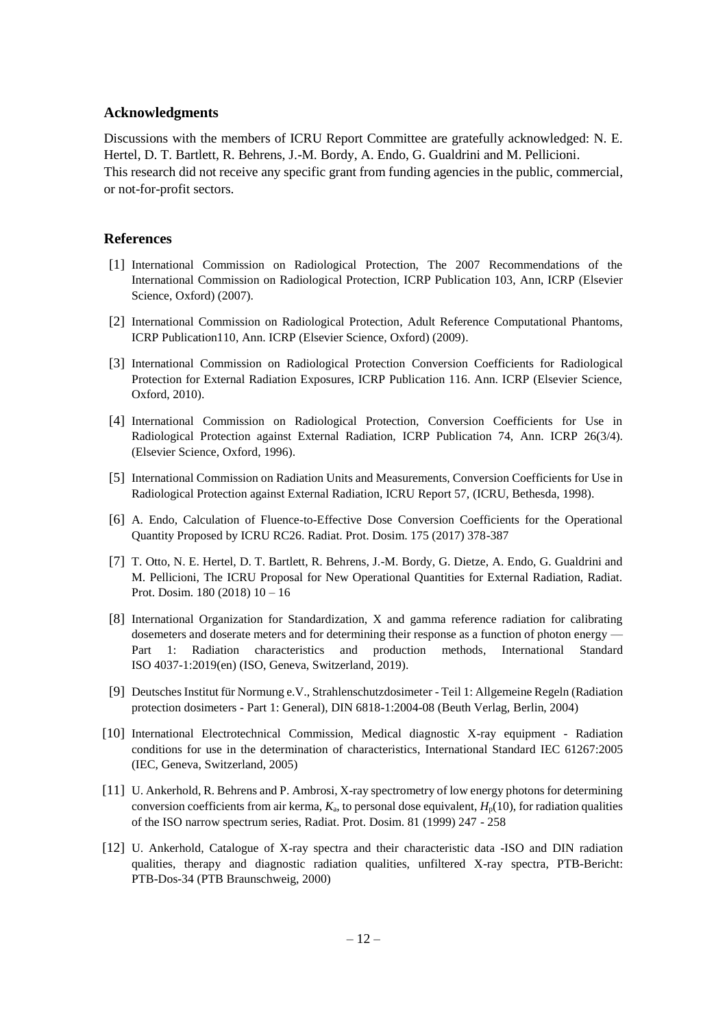#### **Acknowledgments**

Discussions with the members of ICRU Report Committee are gratefully acknowledged: N. E. Hertel, D. T. Bartlett, R. Behrens, J.-M. Bordy, A. Endo, G. Gualdrini and M. Pellicioni. This research did not receive any specific grant from funding agencies in the public, commercial, or not-for-profit sectors.

#### **References**

- [1] International Commission on Radiological Protection, The 2007 Recommendations of the International Commission on Radiological Protection, ICRP Publication 103, Ann, ICRP (Elsevier Science, Oxford) (2007).
- [2] International Commission on Radiological Protection, Adult Reference Computational Phantoms, ICRP Publication110, Ann. ICRP (Elsevier Science, Oxford) (2009).
- [3] International Commission on Radiological Protection Conversion Coefficients for Radiological Protection for External Radiation Exposures, ICRP Publication 116. Ann. ICRP (Elsevier Science, Oxford, 2010).
- [4] International Commission on Radiological Protection, Conversion Coefficients for Use in Radiological Protection against External Radiation, ICRP Publication 74, Ann. ICRP 26(3/4). (Elsevier Science, Oxford, 1996).
- [5] International Commission on Radiation Units and Measurements, Conversion Coefficients for Use in Radiological Protection against External Radiation, ICRU Report 57, (ICRU, Bethesda, 1998).
- [6] A. Endo, Calculation of Fluence-to-Effective Dose Conversion Coefficients for the Operational Quantity Proposed by ICRU RC26. Radiat. Prot. Dosim. 175 (2017) 378-387
- [7] T. Otto, N. E. Hertel, D. T. Bartlett, R. Behrens, J.-M. Bordy, G. Dietze, A. Endo, G. Gualdrini and M. Pellicioni, The ICRU Proposal for New Operational Quantities for External Radiation, Radiat. Prot. Dosim. 180 (2018) 10 – 16
- [8] International Organization for Standardization, X and gamma reference radiation for calibrating dosemeters and doserate meters and for determining their response as a function of photon energy — Part 1: Radiation characteristics and production methods, International Standard ISO 4037-1:2019(en) (ISO, Geneva, Switzerland, 2019).
- [9] Deutsches Institut für Normung e.V., Strahlenschutzdosimeter Teil 1: Allgemeine Regeln (Radiation protection dosimeters - Part 1: General), DIN 6818-1:2004-08 (Beuth Verlag, Berlin, 2004)
- [10] International Electrotechnical Commission, Medical diagnostic X-ray equipment Radiation conditions for use in the determination of characteristics, International Standard IEC 61267:2005 (IEC, Geneva, Switzerland, 2005)
- [11] U. Ankerhold, R. Behrens and P. Ambrosi, X-ray spectrometry of low energy photons for determining conversion coefficients from air kerma,  $K_a$ , to personal dose equivalent,  $H_p(10)$ , for radiation qualities of the ISO narrow spectrum series, Radiat. Prot. Dosim. 81 (1999) 247 - 258
- [12] U. Ankerhold, Catalogue of X-ray spectra and their characteristic data -ISO and DIN radiation qualities, therapy and diagnostic radiation qualities, unfiltered X-ray spectra, PTB-Bericht: PTB-Dos-34 (PTB Braunschweig, 2000)